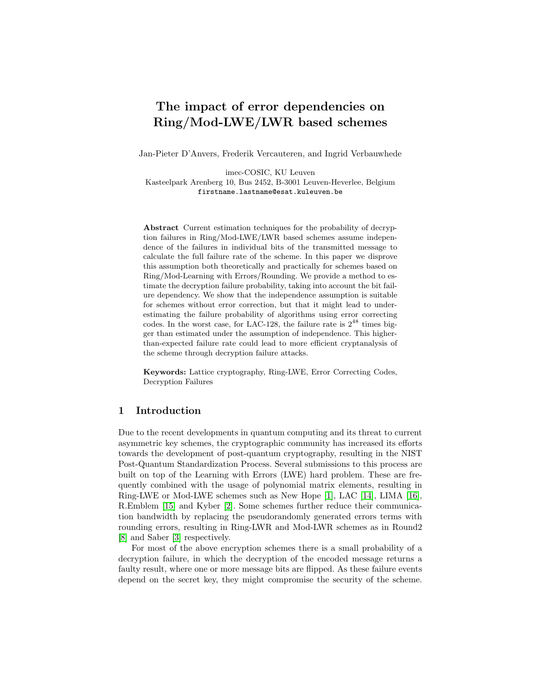# The impact of error dependencies on Ring/Mod-LWE/LWR based schemes

Jan-Pieter D'Anvers, Frederik Vercauteren, and Ingrid Verbauwhede

imec-COSIC, KU Leuven Kasteelpark Arenberg 10, Bus 2452, B-3001 Leuven-Heverlee, Belgium firstname.lastname@esat.kuleuven.be

Abstract Current estimation techniques for the probability of decryption failures in Ring/Mod-LWE/LWR based schemes assume independence of the failures in individual bits of the transmitted message to calculate the full failure rate of the scheme. In this paper we disprove this assumption both theoretically and practically for schemes based on Ring/Mod-Learning with Errors/Rounding. We provide a method to estimate the decryption failure probability, taking into account the bit failure dependency. We show that the independence assumption is suitable for schemes without error correction, but that it might lead to underestimating the failure probability of algorithms using error correcting codes. In the worst case, for LAC-128, the failure rate is  $2^{48}$  times bigger than estimated under the assumption of independence. This higherthan-expected failure rate could lead to more efficient cryptanalysis of the scheme through decryption failure attacks.

Keywords: Lattice cryptography, Ring-LWE, Error Correcting Codes, Decryption Failures

# 1 Introduction

Due to the recent developments in quantum computing and its threat to current asymmetric key schemes, the cryptographic community has increased its efforts towards the development of post-quantum cryptography, resulting in the NIST Post-Quantum Standardization Process. Several submissions to this process are built on top of the Learning with Errors (LWE) hard problem. These are frequently combined with the usage of polynomial matrix elements, resulting in Ring-LWE or Mod-LWE schemes such as New Hope [\[1\]](#page-11-0), LAC [\[14\]](#page-11-1), LIMA [\[16\]](#page-12-0), R.Emblem [\[15\]](#page-12-1) and Kyber [\[2\]](#page-11-2). Some schemes further reduce their communication bandwidth by replacing the pseudorandomly generated errors terms with rounding errors, resulting in Ring-LWR and Mod-LWR schemes as in Round2 [\[8\]](#page-11-3) and Saber [\[3\]](#page-11-4) respectively.

For most of the above encryption schemes there is a small probability of a decryption failure, in which the decryption of the encoded message returns a faulty result, where one or more message bits are flipped. As these failure events depend on the secret key, they might compromise the security of the scheme.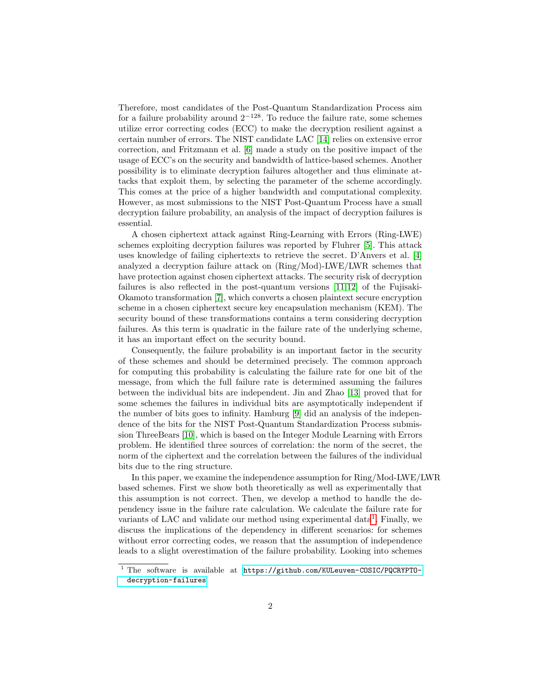Therefore, most candidates of the Post-Quantum Standardization Process aim for a failure probability around  $2^{-128}$ . To reduce the failure rate, some schemes utilize error correcting codes (ECC) to make the decryption resilient against a certain number of errors. The NIST candidate LAC [\[14\]](#page-11-1) relies on extensive error correction, and Fritzmann et al. [\[6\]](#page-11-5) made a study on the positive impact of the usage of ECC's on the security and bandwidth of lattice-based schemes. Another possibility is to eliminate decryption failures altogether and thus eliminate attacks that exploit them, by selecting the parameter of the scheme accordingly. This comes at the price of a higher bandwidth and computational complexity. However, as most submissions to the NIST Post-Quantum Process have a small decryption failure probability, an analysis of the impact of decryption failures is essential.

A chosen ciphertext attack against Ring-Learning with Errors (Ring-LWE) schemes exploiting decryption failures was reported by Fluhrer [\[5\]](#page-11-6). This attack uses knowledge of failing ciphertexts to retrieve the secret. D'Anvers et al. [\[4\]](#page-11-7) analyzed a decryption failure attack on (Ring/Mod)-LWE/LWR schemes that have protection against chosen ciphertext attacks. The security risk of decryption failures is also reflected in the post-quantum versions [\[11,](#page-11-8)[12\]](#page-11-9) of the Fujisaki-Okamoto transformation [\[7\]](#page-11-10), which converts a chosen plaintext secure encryption scheme in a chosen ciphertext secure key encapsulation mechanism (KEM). The security bound of these transformations contains a term considering decryption failures. As this term is quadratic in the failure rate of the underlying scheme, it has an important effect on the security bound.

Consequently, the failure probability is an important factor in the security of these schemes and should be determined precisely. The common approach for computing this probability is calculating the failure rate for one bit of the message, from which the full failure rate is determined assuming the failures between the individual bits are independent. Jin and Zhao [\[13\]](#page-11-11) proved that for some schemes the failures in individual bits are asymptotically independent if the number of bits goes to infinity. Hamburg [\[9\]](#page-11-12) did an analysis of the independence of the bits for the NIST Post-Quantum Standardization Process submission ThreeBears [\[10\]](#page-11-13), which is based on the Integer Module Learning with Errors problem. He identified three sources of correlation: the norm of the secret, the norm of the ciphertext and the correlation between the failures of the individual bits due to the ring structure.

In this paper, we examine the independence assumption for Ring/Mod-LWE/LWR based schemes. First we show both theoretically as well as experimentally that this assumption is not correct. Then, we develop a method to handle the dependency issue in the failure rate calculation. We calculate the failure rate for variants of LAC and validate our method using experimental data<sup>[1](#page-1-0)</sup>. Finally, we discuss the implications of the dependency in different scenarios: for schemes without error correcting codes, we reason that the assumption of independence leads to a slight overestimation of the failure probability. Looking into schemes

<span id="page-1-0"></span><sup>1</sup> The software is available at [https://github.com/KULeuven-COSIC/PQCRYPTO](https://github.com/KULeuven-COSIC/PQCRYPTO-decryption-failures)[decryption-failures](https://github.com/KULeuven-COSIC/PQCRYPTO-decryption-failures)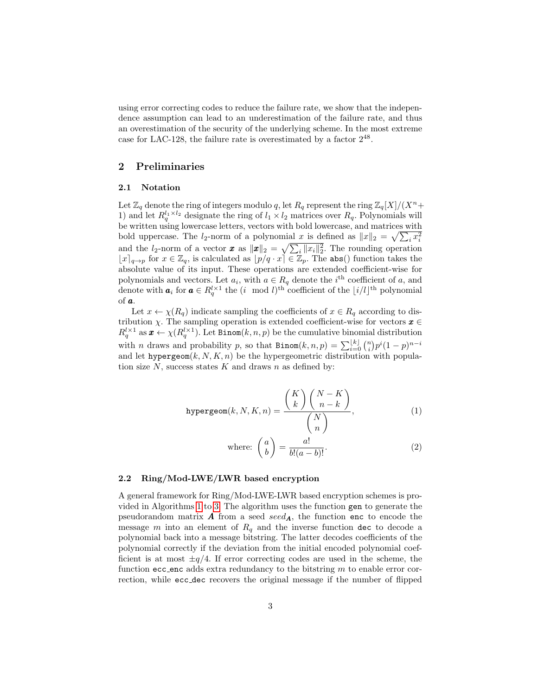using error correcting codes to reduce the failure rate, we show that the independence assumption can lead to an underestimation of the failure rate, and thus an overestimation of the security of the underlying scheme. In the most extreme case for LAC-128, the failure rate is overestimated by a factor  $2^{48}$ .

# 2 Preliminaries

### 2.1 Notation

Let  $\mathbb{Z}_q$  denote the ring of integers modulo q, let  $R_q$  represent the ring  $\mathbb{Z}_q[X]/(X^n+$ 1) and let  $R_q^{l_1 \times l_2}$  designate the ring of  $l_1 \times l_2$  matrices over  $R_q$ . Polynomials will be written using lowercase letters, vectors with bold lowercase, and matrices with bold uppercase. The *l*<sub>2</sub>-norm of a polynomial x is defined as  $||x||_2 = \sqrt{\sum_i x_i^2}$ and the  $l_2$ -norm of a vector **x** as  $||\mathbf{x}||_2 = \sqrt{\sum_i ||x_i||_2^2}$ . The rounding operation  $\lfloor x \rfloor_{q \to p}$  for  $x \in \mathbb{Z}_q$ , is calculated as  $\lfloor p/q \cdot x \rfloor \in \mathbb{Z}_p$ . The abs() function takes the absolute value of its input. These operations are extended coefficient-wise for polynomials and vectors. Let  $a_i$ , with  $a \in R_q$  denote the i<sup>th</sup> coefficient of a, and denote with  $a_i$  for  $a \in R_q^{l \times 1}$  the  $(i \mod l)$ <sup>th</sup> coefficient of the  $\lfloor i/l \rfloor$ <sup>th</sup> polynomial of a.

Let  $x \leftarrow \chi(R_q)$  indicate sampling the coefficients of  $x \in R_q$  according to distribution  $\chi$ . The sampling operation is extended coefficient-wise for vectors  $x \in$  $R_q^{l\times 1}$  as  $\boldsymbol{x}\leftarrow \chi(R_q^{l\times 1})$ . Let Binom $(k,n,p)$  be the cumulative binomial distribution with *n* draws and probability *p*, so that  $\text{Binom}(k, n, p) = \sum_{i=0}^{\lfloor k \rfloor} {n \choose i} p^i (1-p)^{n-i}$ and let hypergeom $(k, N, K, n)$  be the hypergeometric distribution with population size  $N$ , success states  $K$  and draws  $n$  as defined by:

$$
\text{hypergeom}(k, N, K, n) = \frac{\binom{K}{k}\binom{N-K}{n-k}}{\binom{N}{n}},\tag{1}
$$

where: 
$$
\binom{a}{b} = \frac{a!}{b!(a-b)!}
$$
. (2)

#### 2.2 Ring/Mod-LWE/LWR based encryption

A general framework for Ring/Mod-LWE-LWR based encryption schemes is provided in Algorithms [1](#page-3-0) to [3.](#page-4-0) The algorithm uses the function gen to generate the pseudorandom matrix  $\boldsymbol{A}$  from a seed seed<sub>A</sub>, the function enc to encode the message m into an element of  $R_q$  and the inverse function dec to decode a polynomial back into a message bitstring. The latter decodes coefficients of the polynomial correctly if the deviation from the initial encoded polynomial coefficient is at most  $\pm q/4$ . If error correcting codes are used in the scheme, the function ecc\_enc adds extra redundancy to the bitstring  $m$  to enable error correction, while ecc dec recovers the original message if the number of flipped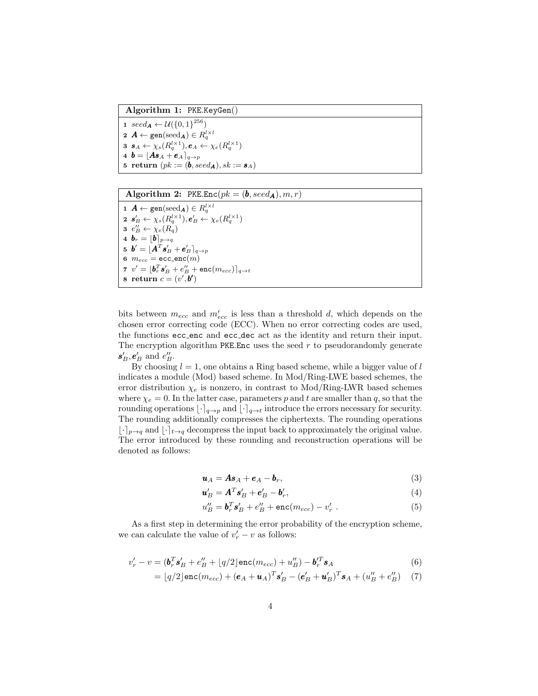<span id="page-3-0"></span>Algorithm 1: PKE.KeyGen() 1 seed<sub>A</sub>  $\leftarrow \mathcal{U}(\{0,1\}^{256})$  $\mathbf{2} \;\; \pmb{A} \leftarrow \texttt{gen}(\text{seed}_{\pmb{A}}) \in R_q^{l \times l}$ 3  $\bm{s}_A \leftarrow \chi_s(R^{l \times 1}_q), \bm{e}_A \leftarrow \chi_e(R^{l \times 1}_q)$ 4 **b** =  $[A\boldsymbol{s}_A + \boldsymbol{e}_A]_{q \to p}$ 5 return  $(pk := (\boldsymbol{b}, seed_{\boldsymbol{A}}), sk := \boldsymbol{s}_A)$ 

Algorithm 2: PKE.Enc $(pk = (\boldsymbol{b}, seed_{\boldsymbol{A}}), m, r)$  $\mathbf{1} \hspace{1mm} \boldsymbol{A} \leftarrow \texttt{gen}(\text{seed}_{\boldsymbol{A}}) \in R_q^{l \times l}$  $\boldsymbol{2} \;\; \boldsymbol{s}_B' \leftarrow \chi_s(R_q^{l \times 1}), \boldsymbol{e}_B' \leftarrow \chi_e(R_q^{l \times 1})$  $\mathbf{3} \ \ e''_B \leftarrow \chi_e(R_q)$ 4  $\mathbf{b}_r = [\mathbf{b}]_{p \to q}$ 5  $\bm{b}' = \lfloor \bm{A}^T \bm{s}_B' + \bm{e}_B' \rceil_{q \rightarrow p}$ 6  $m_{ecc} = \texttt{ecc\_enc}(m)$  $\bm{\tau}$   $v' = \lfloor \bm{b}_r^T \bm{s}_B' + e_B'' + \texttt{enc}(m_{ecc}) \rceil_{q \rightarrow t}$ 8 return  $c = (v', b')$ 

bits between  $m_{ecc}$  and  $m'_{ecc}$  is less than a threshold d, which depends on the chosen error correcting code (ECC). When no error correcting codes are used, the functions ecc enc and ecc dec act as the identity and return their input. The encryption algorithm PKE. Enc uses the seed  $r$  to pseudorandomly generate  $s'_B, e'_B$  and  $e''_B$ .

By choosing  $l = 1$ , one obtains a Ring based scheme, while a bigger value of l indicates a module (Mod) based scheme. In Mod/Ring-LWE based schemes, the error distribution  $\chi_e$  is nonzero, in contrast to Mod/Ring-LWR based schemes where  $\chi_e = 0$ . In the latter case, parameters p and t are smaller than q, so that the rounding operations  $\lfloor \cdot \rceil_{q\to p}$  and  $\lfloor \cdot \rceil_{q\to t}$  introduce the errors necessary for security. The rounding additionally compresses the ciphertexts. The rounding operations  $\lfloor \cdot \rfloor_{p\to q}$  and  $\lfloor \cdot \rfloor_{t\to q}$  decompress the input back to approximately the original value. The error introduced by these rounding and reconstruction operations will be denoted as follows:

$$
\mathbf{u}_A = \mathbf{A}\mathbf{s}_A + \mathbf{e}_A - \mathbf{b}_r,\tag{3}
$$

$$
\boldsymbol{u}'_B = \boldsymbol{A}^T \boldsymbol{s}'_B + \boldsymbol{e}'_B - \boldsymbol{b}'_r,\tag{4}
$$

$$
u''_B = \mathbf{b}_r^T \mathbf{s}'_B + e''_B + \text{enc}(m_{ecc}) - v'_r . \tag{5}
$$

As a first step in determining the error probability of the encryption scheme, we can calculate the value of  $v'_r - v$  as follows:

$$
v'_{r} - v = (\mathbf{b}_{r}^{T} \mathbf{s}'_{B} + e''_{B} + \lfloor q/2 \rfloor \text{enc}(m_{ecc}) + u''_{B}) - \mathbf{b}'_{r}^{T} \mathbf{s}_{A}
$$
(6)

$$
= [q/2] \operatorname{enc}(m_{ecc}) + (\boldsymbol{e}_A + \boldsymbol{u}_A)^T \boldsymbol{s}'_B - (\boldsymbol{e}'_B + \boldsymbol{u}'_B)^T \boldsymbol{s}_A + (u''_B + e''_B) \quad (7)
$$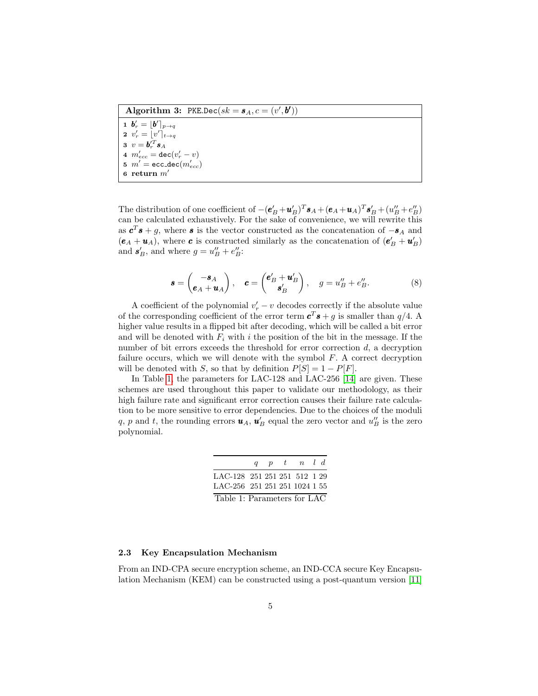<span id="page-4-0"></span>Algorithm 3: PKE.Dec(sk =  $s_A, c = (v', b'))$ 1  $\bm{b}'_r = \lfloor \bm{b}' \rceil_{p \rightarrow q}$ 2  $v_r' = \lfloor v' \rceil_{t \to q}$ 3  $v = \boldsymbol{b}_r^{\prime T} \boldsymbol{s}_A$ 4  $m_{ecc}' = \texttt{dec}(v_r' - v)$  $5\;\;m'=\texttt{ecc\_dec}(m'_{ecc})$ 6 return  $m<sup>2</sup>$ 

The distribution of one coefficient of  $-(\mathbf{e}'_B + \mathbf{u}'_B)^T \mathbf{s}_A + (\mathbf{e}_A + \mathbf{u}_A)^T \mathbf{s}'_B + (u''_B + e''_B)$ can be calculated exhaustively. For the sake of convenience, we will rewrite this as  $c^T s + g$ , where s is the vector constructed as the concatenation of  $-s_A$  and  $(e_A + u_A)$ , where c is constructed similarly as the concatenation of  $(e'_B + u'_B)$ and  $\mathbf{s}'_B$ , and where  $g = u''_B + e''_B$ :

<span id="page-4-2"></span>
$$
\boldsymbol{s} = \begin{pmatrix} -\boldsymbol{s}_A \\ \boldsymbol{e}_A + \boldsymbol{u}_A \end{pmatrix}, \quad \boldsymbol{c} = \begin{pmatrix} \boldsymbol{e}'_B + \boldsymbol{u}'_B \\ \boldsymbol{s}'_B \end{pmatrix}, \quad g = u''_B + e''_B. \tag{8}
$$

A coefficient of the polynomial  $v'_r - v$  decodes correctly if the absolute value of the corresponding coefficient of the error term  $c^T s + g$  is smaller than  $q/4$ . A higher value results in a flipped bit after decoding, which will be called a bit error and will be denoted with  $F_i$  with i the position of the bit in the message. If the number of bit errors exceeds the threshold for error correction  $d$ , a decryption failure occurs, which we will denote with the symbol  $F$ . A correct decryption will be denoted with S, so that by definition  $P[S] = 1 - P[F]$ .

<span id="page-4-1"></span>In Table [1,](#page-4-1) the parameters for LAC-128 and LAC-256 [\[14\]](#page-11-1) are given. These schemes are used throughout this paper to validate our methodology, as their high failure rate and significant error correction causes their failure rate calculation to be more sensitive to error dependencies. Due to the choices of the moduli q, p and t, the rounding errors  $u_A$ ,  $u'_B$  equal the zero vector and  $u''_B$  is the zero polynomial.

|                               |  | $a \quad p \quad t \quad n \quad l \quad d$ |  |
|-------------------------------|--|---------------------------------------------|--|
| LAC-128 251 251 251 512 1 29  |  |                                             |  |
| LAC-256 251 251 251 1024 1 55 |  |                                             |  |
| Table 1: Parameters for LAC   |  |                                             |  |

#### 2.3 Key Encapsulation Mechanism

From an IND-CPA secure encryption scheme, an IND-CCA secure Key Encapsulation Mechanism (KEM) can be constructed using a post-quantum version [\[11\]](#page-11-8)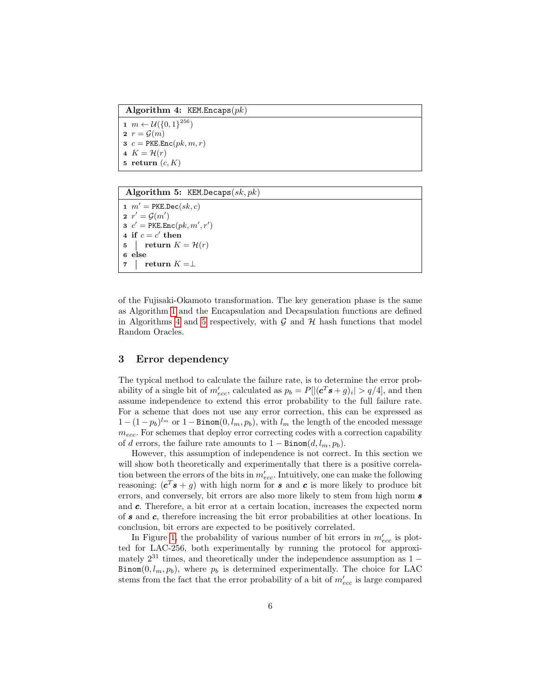Algorithm 4: KEM.Encaps $(pk)$ 

<span id="page-5-0"></span> $m \leftarrow \mathcal{U}(\{0, 1\}^{256})$  $r = \mathcal{G}(m)$  $c = PKE.Enc(pk, m, r)$  $K = \mathcal{H}(r)$ 5 return  $(c, K)$ 

<span id="page-5-1"></span>Algorithm 5: KEM.Decaps $(sk, pk)$ 1  $m' =$  PKE.Dec(sk, c) 2  $r' = \mathcal{G}(m')$ 3  $c' =$  PKE.Enc $(pk, m', r')$ 4 if  $c = c'$  then 5 | return  $K = \mathcal{H}(r)$ 6 else 7 | return  $K = \perp$ 

of the Fujisaki-Okamoto transformation. The key generation phase is the same as Algorithm [1](#page-3-0) and the Encapsulation and Decapsulation functions are defined in Algorithms [4](#page-5-0) and [5](#page-5-1) respectively, with  $\mathcal G$  and  $\mathcal H$  hash functions that model Random Oracles.

# <span id="page-5-2"></span>3 Error dependency

The typical method to calculate the failure rate, is to determine the error probability of a single bit of  $m'_{ecc}$ , calculated as  $p_b = P[|(**c**<sup>T</sup>**s** + g)<sub>i</sub>| > q/4]$ , and then assume independence to extend this error probability to the full failure rate. For a scheme that does not use any error correction, this can be expressed as  $1 - (1 - p_b)^{l_m}$  or  $1 - \text{Binom}(0, l_m, p_b)$ , with  $l_m$  the length of the encoded message  $m_{ecc}$ . For schemes that deploy error correcting codes with a correction capability of d errors, the failure rate amounts to  $1 - \text{Binom}(d, l_m, p_b)$ .

However, this assumption of independence is not correct. In this section we will show both theoretically and experimentally that there is a positive correlation between the errors of the bits in  $m'_{ecc}$ . Intuitively, one can make the following reasoning:  $(c^T s + g)$  with high norm for s and c is more likely to produce bit errors, and conversely, bit errors are also more likely to stem from high norm  $\boldsymbol{s}$ and c. Therefore, a bit error at a certain location, increases the expected norm of  $s$  and  $c$ , therefore increasing the bit error probabilities at other locations. In conclusion, bit errors are expected to be positively correlated.

In Figure [1,](#page-6-0) the probability of various number of bit errors in  $m'_{ecc}$  is plotted for LAC-256, both experimentally by running the protocol for approximately  $2^{31}$  times, and theoretically under the independence assumption as  $1 -$ Binom $(0, l_m, p_b)$ , where  $p_b$  is determined experimentally. The choice for LAC stems from the fact that the error probability of a bit of  $m_{ecc}^{\prime}$  is large compared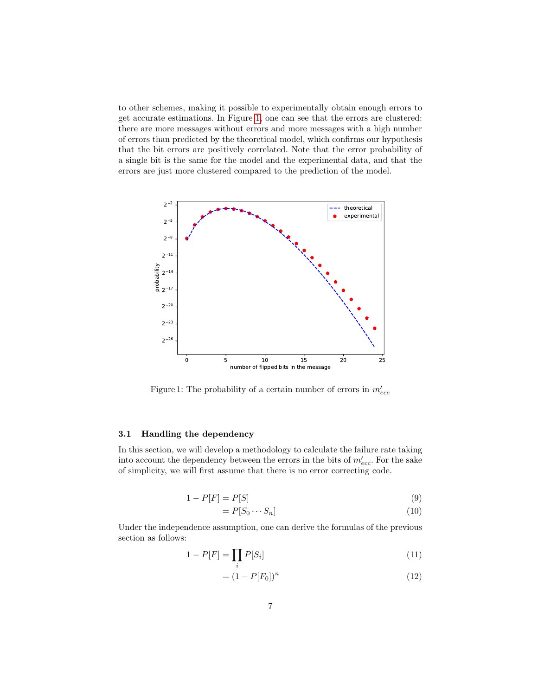to other schemes, making it possible to experimentally obtain enough errors to get accurate estimations. In Figure [1,](#page-6-0) one can see that the errors are clustered: there are more messages without errors and more messages with a high number of errors than predicted by the theoretical model, which confirms our hypothesis that the bit errors are positively correlated. Note that the error probability of a single bit is the same for the model and the experimental data, and that the errors are just more clustered compared to the prediction of the model.

<span id="page-6-0"></span>

Figure 1: The probability of a certain number of errors in  $m_{ecc}^{\prime}$ 

## 3.1 Handling the dependency

In this section, we will develop a methodology to calculate the failure rate taking into account the dependency between the errors in the bits of  $m'_{ecc}$ . For the sake of simplicity, we will first assume that there is no error correcting code.

$$
1 - P[F] = P[S] \tag{9}
$$

$$
= P[S_0 \cdots S_n] \tag{10}
$$

Under the independence assumption, one can derive the formulas of the previous section as follows:

$$
1 - P[F] = \prod_i P[S_i] \tag{11}
$$

<span id="page-6-2"></span><span id="page-6-1"></span>
$$
= (1 - P[F_0])^n
$$
 (12)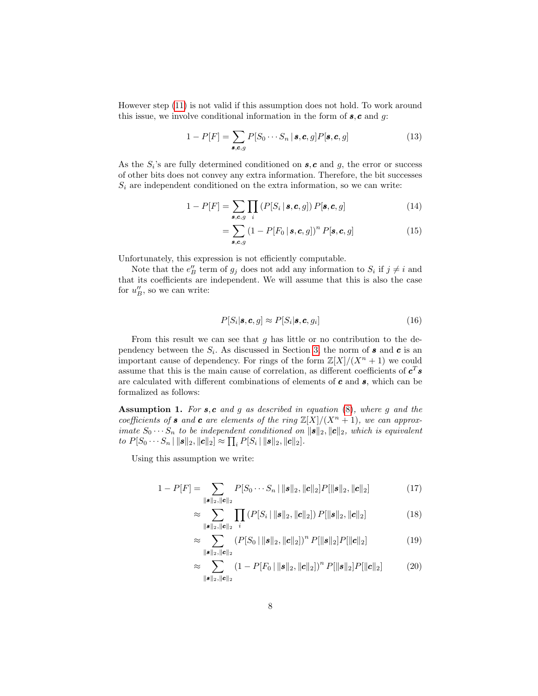However step [\(11\)](#page-6-1) is not valid if this assumption does not hold. To work around this issue, we involve conditional information in the form of  $s, c$  and  $q$ :

$$
1 - P[F] = \sum_{\mathbf{s}, \mathbf{c}, g} P[S_0 \cdots S_n | \mathbf{s}, \mathbf{c}, g] P[\mathbf{s}, \mathbf{c}, g]
$$
(13)

As the  $S_i$ 's are fully determined conditioned on  $s, c$  and  $g$ , the error or success of other bits does not convey any extra information. Therefore, the bit successes  $S_i$  are independent conditioned on the extra information, so we can write:

$$
1 - P[F] = \sum_{\mathbf{s}, \mathbf{c}, g} \prod_i \left( P[S_i \mid \mathbf{s}, \mathbf{c}, g] \right) P[\mathbf{s}, \mathbf{c}, g] \tag{14}
$$

<span id="page-7-2"></span>
$$
= \sum_{\boldsymbol{s}, \boldsymbol{c}, g} \left(1 - P[F_0 \,|\, \boldsymbol{s}, \boldsymbol{c}, g]\right)^n P[\boldsymbol{s}, \boldsymbol{c}, g] \tag{15}
$$

Unfortunately, this expression is not efficiently computable.

Note that the  $e''_B$  term of  $g_j$  does not add any information to  $S_i$  if  $j \neq i$  and that its coefficients are independent. We will assume that this is also the case for  $u_B''$ , so we can write:

$$
P[S_i|\mathbf{s}, \mathbf{c}, g] \approx P[S_i|\mathbf{s}, \mathbf{c}, g_i]
$$
 (16)

From this result we can see that  $g$  has little or no contribution to the dependency between the  $S_i$ . As discussed in Section [3,](#page-5-2) the norm of **s** and **c** is an important cause of dependency. For rings of the form  $\mathbb{Z}[X]/(X^n + 1)$  we could assume that this is the main cause of correlation, as different coefficients of  $c^T s$ are calculated with different combinations of elements of  $c$  and  $s$ , which can be formalized as follows:

<span id="page-7-0"></span>**Assumption 1.** For  $s, c$  and  $g$  as described in equation  $(8)$ , where  $g$  and the coefficients of **s** and **c** are elements of the ring  $\mathbb{Z}[X]/(X^n + 1)$ , we can approximate  $S_0 \cdots S_n$  to be independent conditioned on  $\|\mathbf{s}\|_2$ ,  $\|\mathbf{c}\|_2$ , which is equivalent to  $P[S_0 \cdots S_n | ||\mathbf{s}||_2, ||\mathbf{c}||_2] \approx \prod_i P[S_i | ||\mathbf{s}||_2, ||\mathbf{c}||_2].$ 

Using this assumption we write:

$$
1 - P[F] = \sum_{\|\mathbf{s}\|_2, \|\mathbf{c}\|_2} P[S_0 \cdots S_n \mid \|\mathbf{s}\|_2, \|\mathbf{c}\|_2] P[\|\mathbf{s}\|_2, \|\mathbf{c}\|_2]
$$
(17)

$$
\approx \sum_{\|\mathbf{s}\|_2, \|\mathbf{c}\|_2} \prod_i \left( P[S_i \mid \|\mathbf{s}\|_2, \|\mathbf{c}\|_2 \right) P[\|\mathbf{s}\|_2, \|\mathbf{c}\|_2] \tag{18}
$$

$$
\approx \sum_{\|\boldsymbol{s}\|_2, \|\boldsymbol{c}\|_2} \left( P[S_0 \mid \|\boldsymbol{s}\|_2, \|\boldsymbol{c}\|_2 \right)^n P[\|\boldsymbol{s}\|_2] P[\|\boldsymbol{c}\|_2] \tag{19}
$$

<span id="page-7-1"></span>
$$
\approx \sum_{\|\mathbf{s}\|_2, \|\mathbf{c}\|_2} \left(1 - P[F_0 \mid \|\mathbf{s}\|_2, \|\mathbf{c}\|_2\right))^n P[\|\mathbf{s}\|_2] P[\|\mathbf{c}\|_2] \tag{20}
$$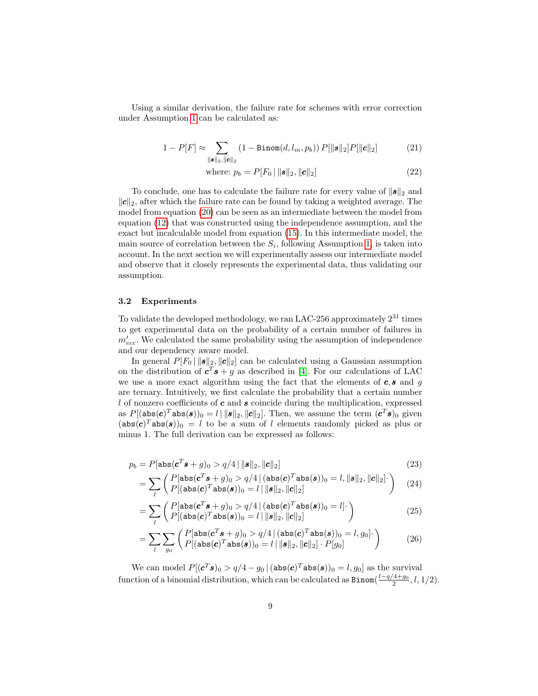Using a similar derivation, the failure rate for schemes with error correction under Assumption [1](#page-7-0) can be calculated as:

$$
1 - P[F] \approx \sum_{\|\mathbf{s}\|_2, \|\mathbf{c}\|_2} (1 - \text{Binom}(d, l_m, p_b)) P[\|\mathbf{s}\|_2] P[\|\mathbf{c}\|_2]
$$
(21)

where: 
$$
p_b = P[F_0 | ||\mathbf{s}||_2, ||\mathbf{c}||_2]
$$
 (22)

To conclude, one has to calculate the failure rate for every value of  $\|\boldsymbol{s}\|_2$  and  $\|\mathbf{c}\|_2$ , after which the failure rate can be found by taking a weighted average. The model from equation [\(20\)](#page-7-1) can be seen as an intermediate between the model from equation [\(12\)](#page-6-2) that was constructed using the independence assumption, and the exact but incalculable model from equation [\(15\)](#page-7-2). In this intermediate model, the main source of correlation between the  $S_i$ , following Assumption [1,](#page-7-0) is taken into account. In the next section we will experimentally assess our intermediate model and observe that it closely represents the experimental data, thus validating our assumption.

#### 3.2 Experiments

To validate the developed methodology, we ran LAC-256 approximately  $2^{31}$  times to get experimental data on the probability of a certain number of failures in  $m_{ecc}^{\prime}$ . We calculated the same probability using the assumption of independence and our dependency aware model.

In general  $P[F_0 | ||\mathbf{s}||_2, ||\mathbf{c}||_2]$  can be calculated using a Gaussian assumption on the distribution of  $c^T s + g$  as described in [\[4\]](#page-11-7). For our calculations of LAC we use a more exact algorithm using the fact that the elements of  $c, s$  and g are ternary. Intuitively, we first calculate the probability that a certain number  $l$  of nonzero coefficients of  $c$  and  $s$  coincide during the multiplication, expressed as  $P[(\mathsf{abs}(\mathbf{c})^T \mathsf{abs}(\mathbf{s}))_0 = l \mid ||\mathbf{s}||_2, ||\mathbf{c}||_2]$ . Then, we assume the term  $(\mathbf{c}^T \mathbf{s})_0$  given  $(\texttt{abs}(c)^T \texttt{abs}(s))_0 = l$  to be a sum of l elements randomly picked as plus or minus 1. The full derivation can be expressed as follows:

$$
p_b = P[\text{abs}(\mathbf{c}^T \mathbf{s} + g)_0 > q/4 \, ||\mathbf{s}||_2, \|\mathbf{c}\|_2]
$$
\n(23)

$$
= \sum_{l} \left( \frac{P[\mathsf{abs}(\mathbf{c}^T \mathbf{s} + g)_0 > q/4 \mid (\mathsf{abs}(\mathbf{c})^T \mathsf{abs}(\mathbf{s}))_0 = l, \|\mathbf{s}\|_2, \|\mathbf{c}\|_2]}{P[(\mathsf{abs}(\mathbf{c})^T \mathsf{abs}(\mathbf{s}))_0 = l \mid \|\mathbf{s}\|_2, \|\mathbf{c}\|_2]} \right) \tag{24}
$$

$$
= \sum_{l} \left( \frac{P[\text{abs}(\mathbf{c}^T \mathbf{s} + g)_0 > q/4 | (\text{abs}(\mathbf{c})^T \text{abs}(\mathbf{s}))_0 = l] \cdot}{P[(\text{abs}(\mathbf{c})^T \text{abs}(\mathbf{s}))_0 = l | \|\mathbf{s}\|_2, \|\mathbf{c}\|_2]} \right)
$$
(25)

$$
= \sum_{l} \sum_{g_0} \left( \frac{P[\text{abs}(\mathbf{c}^T \mathbf{s} + g)_0 > q/4 \mid (\text{abs}(\mathbf{c})^T \text{abs}(\mathbf{s}))_0 = l, g_0]}{P[(\text{abs}(\mathbf{c})^T \text{abs}(\mathbf{s}))_0 = l \mid \|\mathbf{s}\|_2, \|\mathbf{c}\|_2] \cdot P[g_0]} \right) \tag{26}
$$

We can model  $P[(\bm{c}^T\bm{s})_0>q/4-g_0\,|\,(\texttt{abs}(\bm{c})^T\texttt{abs}(\bm{s}))_0=l,g_0]$  as the survival function of a binomial distribution, which can be calculated as  $\text{Binom}(\frac{l-q/4+g_0}{2},l,1/2)$ .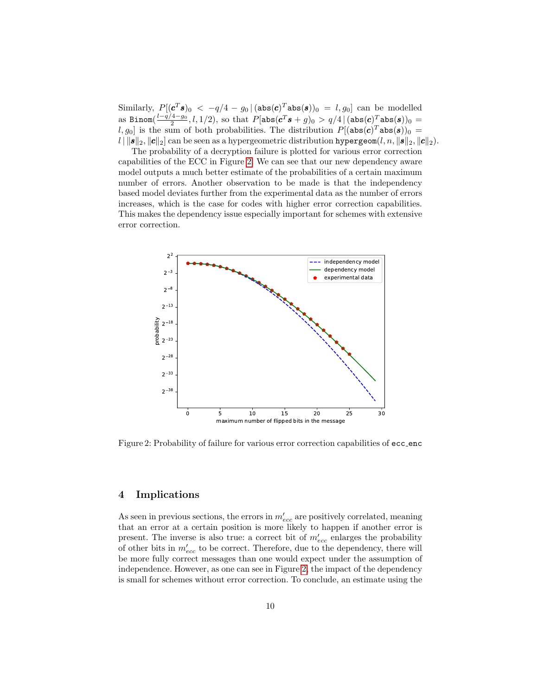Similarly,  $P[(\boldsymbol{c}^T\boldsymbol{s})_0 < -q/4 - g_0 \, | \, (\texttt{abs}(\boldsymbol{c})^T\texttt{abs}(\boldsymbol{s}))_0 = l, g_0]$  can be modelled as Binom $(\frac{l-q/4-g_0}{2},l,1/2)$ , so that  $P[\texttt{abs}(\boldsymbol{c}^T\boldsymbol{s}+g)_0>q/4\,|\,(\texttt{abs}(\boldsymbol{c})^T_{\_}texttt{abs}(\boldsymbol{s}))_0=$  $l, g_0$  is the sum of both probabilities. The distribution  $P[(\texttt{abs}(\boldsymbol{c})^T\texttt{abs}(\boldsymbol{s}))_0 =$  $l \mid \|\mathbf{s}\|_2$ ,  $\|\mathbf{c}\|_2$  can be seen as a hypergeometric distribution hypergeom $(l, n, \|\mathbf{s}\|_2, \|\mathbf{c}\|_2)$ .

The probability of a decryption failure is plotted for various error correction capabilities of the ECC in Figure [2.](#page-9-0) We can see that our new dependency aware model outputs a much better estimate of the probabilities of a certain maximum number of errors. Another observation to be made is that the independency based model deviates further from the experimental data as the number of errors increases, which is the case for codes with higher error correction capabilities. This makes the dependency issue especially important for schemes with extensive error correction.

<span id="page-9-0"></span>

Figure 2: Probability of failure for various error correction capabilities of ecc enc

# 4 Implications

As seen in previous sections, the errors in  $m'_{ecc}$  are positively correlated, meaning that an error at a certain position is more likely to happen if another error is present. The inverse is also true: a correct bit of  $m'_{ecc}$  enlarges the probability of other bits in  $m'_{ecc}$  to be correct. Therefore, due to the dependency, there will be more fully correct messages than one would expect under the assumption of independence. However, as one can see in Figure [2,](#page-9-0) the impact of the dependency is small for schemes without error correction. To conclude, an estimate using the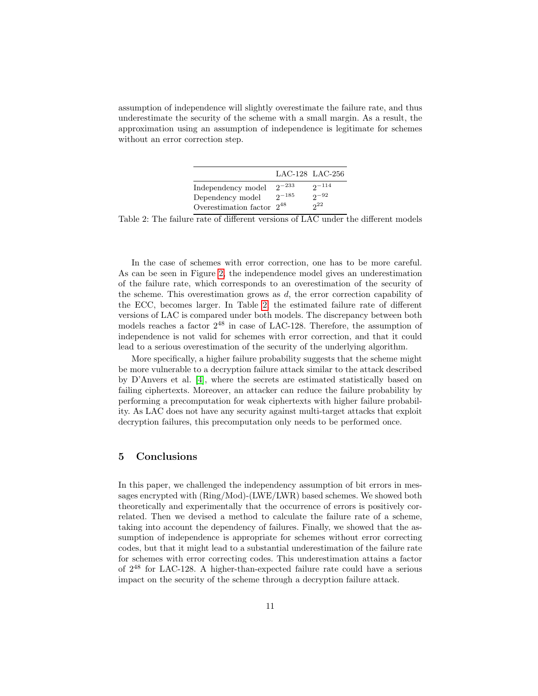assumption of independence will slightly overestimate the failure rate, and thus underestimate the security of the scheme with a small margin. As a result, the approximation using an assumption of independence is legitimate for schemes without an error correction step.

|                       |            | $LAC-128$ $LAC-256$ |
|-----------------------|------------|---------------------|
| Independency model    | $2^{-233}$ | $2^{-114}$          |
| Dependency model      | $2^{-185}$ | $2^{\sim}$          |
| Overestimation factor | $2^{48}$   | 22                  |

<span id="page-10-0"></span>Table 2: The failure rate of different versions of LAC under the different models

In the case of schemes with error correction, one has to be more careful. As can be seen in Figure [2,](#page-9-0) the independence model gives an underestimation of the failure rate, which corresponds to an overestimation of the security of the scheme. This overestimation grows as d, the error correction capability of the ECC, becomes larger. In Table [2,](#page-10-0) the estimated failure rate of different versions of LAC is compared under both models. The discrepancy between both models reaches a factor  $2^{48}$  in case of LAC-128. Therefore, the assumption of independence is not valid for schemes with error correction, and that it could lead to a serious overestimation of the security of the underlying algorithm.

More specifically, a higher failure probability suggests that the scheme might be more vulnerable to a decryption failure attack similar to the attack described by D'Anvers et al. [\[4\]](#page-11-7), where the secrets are estimated statistically based on failing ciphertexts. Moreover, an attacker can reduce the failure probability by performing a precomputation for weak ciphertexts with higher failure probability. As LAC does not have any security against multi-target attacks that exploit decryption failures, this precomputation only needs to be performed once.

## 5 Conclusions

In this paper, we challenged the independency assumption of bit errors in messages encrypted with (Ring/Mod)-(LWE/LWR) based schemes. We showed both theoretically and experimentally that the occurrence of errors is positively correlated. Then we devised a method to calculate the failure rate of a scheme, taking into account the dependency of failures. Finally, we showed that the assumption of independence is appropriate for schemes without error correcting codes, but that it might lead to a substantial underestimation of the failure rate for schemes with error correcting codes. This underestimation attains a factor of  $2^{48}$  for LAC-128. A higher-than-expected failure rate could have a serious impact on the security of the scheme through a decryption failure attack.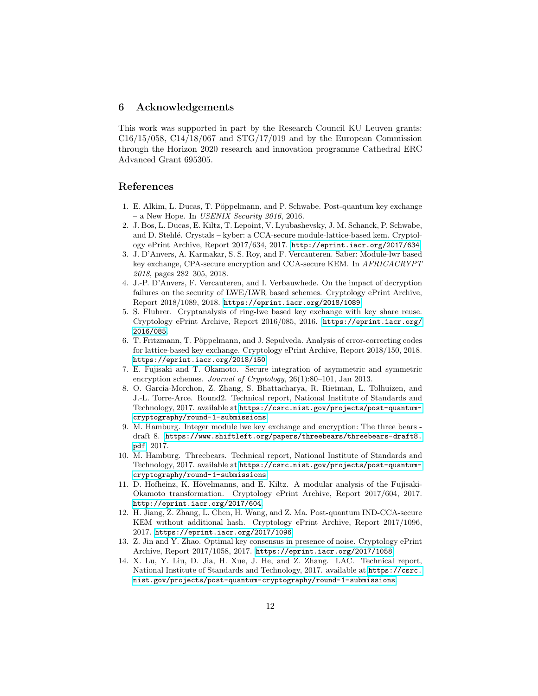## 6 Acknowledgements

This work was supported in part by the Research Council KU Leuven grants:  $C16/15/058$ ,  $C14/18/067$  and  $STG/17/019$  and by the European Commission through the Horizon 2020 research and innovation programme Cathedral ERC Advanced Grant 695305.

# References

- <span id="page-11-0"></span>1. E. Alkim, L. Ducas, T. Pöppelmann, and P. Schwabe. Post-quantum key exchange  $-$  a New Hope. In *USENIX Security 2016*, 2016.
- <span id="page-11-2"></span>2. J. Bos, L. Ducas, E. Kiltz, T. Lepoint, V. Lyubashevsky, J. M. Schanck, P. Schwabe, and D. Stehlé. Crystals – kyber: a CCA-secure module-lattice-based kem. Cryptology ePrint Archive, Report 2017/634, 2017. <http://eprint.iacr.org/2017/634>.
- <span id="page-11-4"></span>3. J. D'Anvers, A. Karmakar, S. S. Roy, and F. Vercauteren. Saber: Module-lwr based key exchange, CPA-secure encryption and CCA-secure KEM. In AFRICACRYPT 2018, pages 282–305, 2018.
- <span id="page-11-7"></span>4. J.-P. D'Anvers, F. Vercauteren, and I. Verbauwhede. On the impact of decryption failures on the security of LWE/LWR based schemes. Cryptology ePrint Archive, Report 2018/1089, 2018. <https://eprint.iacr.org/2018/1089>.
- <span id="page-11-6"></span>5. S. Fluhrer. Cryptanalysis of ring-lwe based key exchange with key share reuse. Cryptology ePrint Archive, Report 2016/085, 2016. [https://eprint.iacr.org/](https://eprint.iacr.org/2016/085) [2016/085](https://eprint.iacr.org/2016/085).
- <span id="page-11-5"></span>6. T. Fritzmann, T. Pöppelmann, and J. Sepulveda. Analysis of error-correcting codes for lattice-based key exchange. Cryptology ePrint Archive, Report 2018/150, 2018. <https://eprint.iacr.org/2018/150>.
- <span id="page-11-10"></span>7. E. Fujisaki and T. Okamoto. Secure integration of asymmetric and symmetric encryption schemes. Journal of Cryptology, 26(1):80-101, Jan 2013.
- <span id="page-11-3"></span>8. O. Garcia-Morchon, Z. Zhang, S. Bhattacharya, R. Rietman, L. Tolhuizen, and J.-L. Torre-Arce. Round2. Technical report, National Institute of Standards and Technology, 2017. available at [https://csrc.nist.gov/projects/post-quantum](https://csrc.nist.gov/projects/post-quantum-cryptography/round-1-submissions)[cryptography/round-1-submissions](https://csrc.nist.gov/projects/post-quantum-cryptography/round-1-submissions).
- <span id="page-11-12"></span>9. M. Hamburg. Integer module lwe key exchange and encryption: The three bears draft 8. [https://www.shiftleft.org/papers/threebears/threebears-draft8.](https://www.shiftleft.org/papers/threebears/threebears-draft8.pdf) [pdf](https://www.shiftleft.org/papers/threebears/threebears-draft8.pdf), 2017.
- <span id="page-11-13"></span>10. M. Hamburg. Threebears. Technical report, National Institute of Standards and Technology, 2017. available at [https://csrc.nist.gov/projects/post-quantum](https://csrc.nist.gov/projects/post-quantum-cryptography/round-1-submissions)[cryptography/round-1-submissions](https://csrc.nist.gov/projects/post-quantum-cryptography/round-1-submissions).
- <span id="page-11-8"></span>11. D. Hofheinz, K. Hövelmanns, and E. Kiltz. A modular analysis of the Fujisaki-Okamoto transformation. Cryptology ePrint Archive, Report 2017/604, 2017. <http://eprint.iacr.org/2017/604>.
- <span id="page-11-9"></span>12. H. Jiang, Z. Zhang, L. Chen, H. Wang, and Z. Ma. Post-quantum IND-CCA-secure KEM without additional hash. Cryptology ePrint Archive, Report 2017/1096, 2017. <https://eprint.iacr.org/2017/1096>.
- <span id="page-11-11"></span>13. Z. Jin and Y. Zhao. Optimal key consensus in presence of noise. Cryptology ePrint Archive, Report 2017/1058, 2017. <https://eprint.iacr.org/2017/1058>.
- <span id="page-11-1"></span>14. X. Lu, Y. Liu, D. Jia, H. Xue, J. He, and Z. Zhang. LAC. Technical report, National Institute of Standards and Technology, 2017. available at [https://csrc.](https://csrc.nist.gov/projects/post-quantum-cryptography/round-1-submissions) [nist.gov/projects/post-quantum-cryptography/round-1-submissions](https://csrc.nist.gov/projects/post-quantum-cryptography/round-1-submissions).